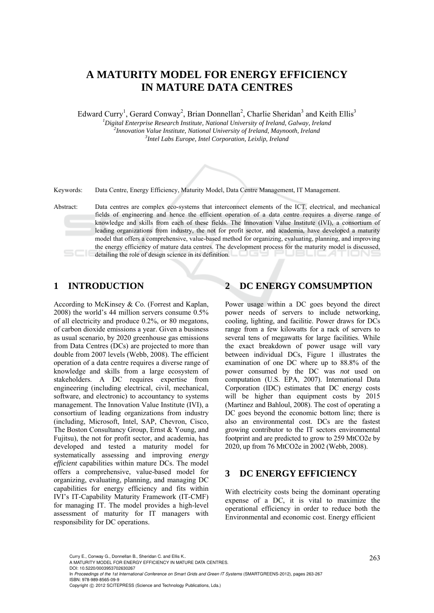# **A MATURITY MODEL FOR ENERGY EFFICIENCY IN MATURE DATA CENTRES**

Edward Curry<sup>1</sup>, Gerard Conway<sup>2</sup>, Brian Donnellan<sup>2</sup>, Charlie Sheridan<sup>3</sup> and Keith Ellis<sup>3</sup>

*1 Digital Enterprise Research Institute, National University of Ireland, Galway, Ireland 2* <sup>2</sup> Innovation Value Institute, National University of Ireland, Maynooth, Ireland *Intel Labs Europe, Intel Corporation, Leixlip, Ireland* 



Keywords: Data Centre, Energy Efficiency, Maturity Model, Data Centre Management, IT Management.

Abstract: Data centres are complex eco-systems that interconnect elements of the ICT, electrical, and mechanical fields of engineering and hence the efficient operation of a data centre requires a diverse range of knowledge and skills from each of these fields. The Innovation Value Institute (IVI), a consortium of leading organizations from industry, the not for profit sector, and academia, have developed a maturity model that offers a comprehensive, value-based method for organizing, evaluating, planning, and improving the energy efficiency of mature data centres. The development process for the maturity model is discussed, detailing the role of design science in its definition.

## **1 INTRODUCTION**

According to McKinsey & Co. (Forrest and Kaplan, 2008) the world's 44 million servers consume 0.5% of all electricity and produce 0.2%, or 80 megatons, of carbon dioxide emissions a year. Given a business as usual scenario, by 2020 greenhouse gas emissions from Data Centres (DCs) are projected to more than double from 2007 levels (Webb, 2008). The efficient operation of a data centre requires a diverse range of knowledge and skills from a large ecosystem of stakeholders. A DC requires expertise from engineering (including electrical, civil, mechanical, software, and electronic) to accountancy to systems management. The Innovation Value Institute (IVI), a consortium of leading organizations from industry (including, Microsoft, Intel, SAP, Chevron, Cisco, The Boston Consultancy Group, Ernst & Young, and Fujitsu), the not for profit sector, and academia, has developed and tested a maturity model for systematically assessing and improving *energy efficient* capabilities within mature DCs. The model offers a comprehensive, value-based model for organizing, evaluating, planning, and managing DC capabilities for energy efficiency and fits within IVI's IT-Capability Maturity Framework (IT-CMF) for managing IT. The model provides a high-level assessment of maturity for IT managers with responsibility for DC operations.

# **2 DC ENERGY COMSUMPTION**

Power usage within a DC goes beyond the direct power needs of servers to include networking, cooling, lighting, and facilitie. Power draws for DCs range from a few kilowatts for a rack of servers to several tens of megawatts for large facilities. While the exact breakdown of power usage will vary between individual DCs, Figure 1 illustrates the examination of one DC where up to 88.8% of the power consumed by the DC was *not* used on computation (U.S. EPA, 2007). International Data Corporation (IDC) estimates that DC energy costs will be higher than equipment costs by 2015 (Martinez and Bahloul, 2008). The cost of operating a DC goes beyond the economic bottom line; there is also an environmental cost. DCs are the fastest growing contributor to the IT sectors environmental footprint and are predicted to grow to 259 MtCO2e by 2020, up from 76 MtCO2e in 2002 (Webb, 2008).

### **3 DC ENERGY EFFICIENCY**

With electricity costs being the dominant operating expense of a DC, it is vital to maximize the operational efficiency in order to reduce both the Environmental and economic cost. Energy efficient

Curry E., Conway G., Donnellan B., Sheridan C. and Ellis K..<br>A MATURITY MODEL FOR ENERGY EFFICIENCY IN MATURE DATA CENTRES.

DOI: 10.5220/0003953702630267

In *Proceedings of the 1st International Conference on Smart Grids and Green IT Systems* (SMARTGREENS-2012), pages 263-267 ISBN: 978-989-8565-09-9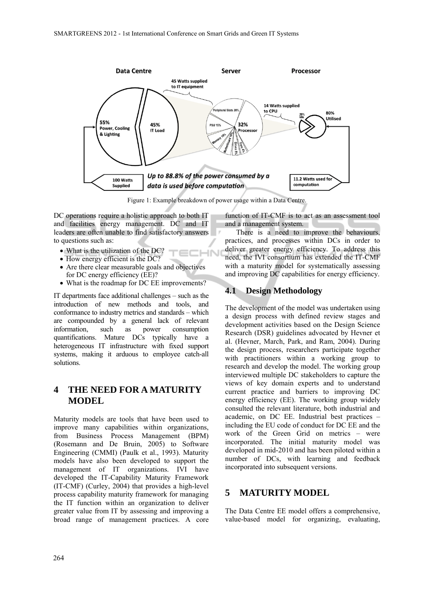

Figure 1: Example breakdown of power usage within a Data Centre.

 $\overline{\mathbf{N}}$ 

DC operations require a holistic approach to both IT and facilities energy management. DC and IT leaders are often unable to find satisfactory answers to questions such as:

- What is the utilization of the DC?
- How energy efficient is the DC?
- Are there clear measurable goals and objectives for DC energy efficiency (EE)?
- What is the roadmap for DC EE improvements?

IT departments face additional challenges – such as the introduction of new methods and tools, and conformance to industry metrics and standards – which are compounded by a general lack of relevant information, such as power consumption quantifications. Mature DCs typically have a heterogeneous IT infrastructure with fixed support systems, making it arduous to employee catch-all solutions.

## **4 THE NEED FOR A MATURITY MODEL**

Maturity models are tools that have been used to improve many capabilities within organizations, from Business Process Management (BPM) (Rosemann and De Bruin, 2005) to Software Engineering (CMMI) (Paulk et al., 1993). Maturity models have also been developed to support the management of IT organizations. IVI have developed the IT-Capability Maturity Framework (IT-CMF) (Curley, 2004) that provides a high-level process capability maturity framework for managing the IT function within an organization to deliver greater value from IT by assessing and improving a broad range of management practices. A core

function of IT-CMF is to act as an assessment tool and a management system.

There is a need to improve the behaviours, practices, and processes within DCs in order to deliver greater energy efficiency. To address this need, the IVI consortium has extended the IT-CMF with a maturity model for systematically assessing and improving DC capabilities for energy efficiency.

### **4.1 Design Methodology**

The development of the model was undertaken using a design process with defined review stages and development activities based on the Design Science Research (DSR) guidelines advocated by Hevner et al. (Hevner, March, Park, and Ram, 2004). During the design process, researchers participate together with practitioners within a working group to research and develop the model. The working group interviewed multiple DC stakeholders to capture the views of key domain experts and to understand current practice and barriers to improving DC energy efficiency (EE). The working group widely consulted the relevant literature, both industrial and academic, on DC EE. Industrial best practices – including the EU code of conduct for DC EE and the work of the Green Grid on metrics – were incorporated. The initial maturity model was developed in mid-2010 and has been piloted within a number of DCs, with learning and feedback incorporated into subsequent versions.

## **5 MATURITY MODEL**

The Data Centre EE model offers a comprehensive, value-based model for organizing, evaluating,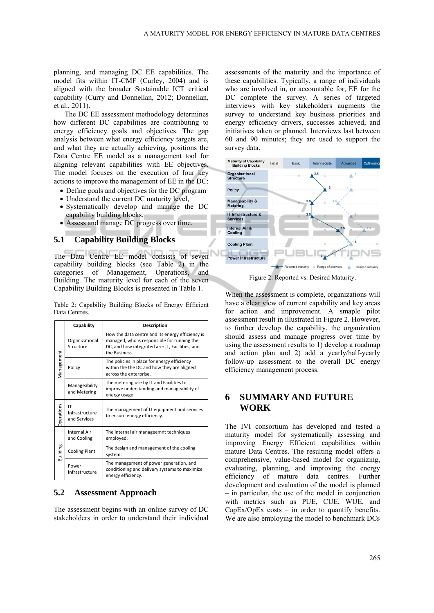planning, and managing DC EE capabilities. The model fits within IT-CMF (Curley, 2004) and is aligned with the broader Sustainable ICT critical capability (Curry and Donnellan, 2012; Donnellan, et al., 2011).

The DC EE assessment methodology determines how different DC capabilities are contributing to energy efficiency goals and objectives. The gap analysis between what energy efficiency targets are, and what they are actually achieving, positions the Data Centre EE model as a management tool for aligning relevant capabilities with EE objectives. The model focuses on the execution of four key actions to improve the management of EE in the DC:

- Define goals and objectives for the DC program
- Understand the current DC maturity level,
- Systematically develop and manage the DC capability building blocks.
- Assess and manage DC progress over time.

#### **5.1 Capability Building Blocks**

The Data Centre EE model consists of seven capability building blocks (see Table 2) in the categories of Management, Operations, and Building. The maturity level for each of the seven Capability Building Blocks is presented in Table 1.

Table 2: Capability Building Blocks of Energy Efficient Data Centres.

|                   | Capability                           | <b>Description</b>                                                                                                                                                  |  |  |
|-------------------|--------------------------------------|---------------------------------------------------------------------------------------------------------------------------------------------------------------------|--|--|
| Management        | Organizational<br>Structure          | How the data centre and its energy efficiency is<br>managed, who is responsible for running the<br>DC, and how integrated are: IT, Facilities, and<br>the Business. |  |  |
|                   | Policy                               | The policies in place for energy efficiency<br>within the the DC and how they are aligned<br>across the enterprise.                                                 |  |  |
|                   | Manageability<br>and Metering        | The metering use by IT and Facilities to<br>improve understanding and manageability of<br>energy usage.                                                             |  |  |
| <b>Operations</b> | IT<br>Infrastructure<br>and Services | The management of IT equipment and services<br>to ensure energy efficiency.                                                                                         |  |  |
| Building          | <b>Internal Air</b><br>and Cooling   | The internal air manageemnt techniques<br>employed.                                                                                                                 |  |  |
|                   | <b>Cooling Plant</b>                 | The design and management of the cooling<br>system.                                                                                                                 |  |  |
|                   | Power<br>Infrastructure              | The management of power generation, and<br>conditioning and delivery systems to maximize<br>energy efficiency.                                                      |  |  |

#### **5.2 Assessment Approach**

The assessment begins with an online survey of DC stakeholders in order to understand their individual

assessments of the maturity and the importance of these capabilities. Typically, a range of individuals who are involved in, or accountable for, EE for the DC complete the survey. A series of targeted interviews with key stakeholders augments the survey to understand key business priorities and energy efficiency drivers, successes achieved, and initiatives taken or planned. Interviews last between 60 and 90 minutes; they are used to support the survey data.



Figure 2: Reported vs. Desired Maturity.

When the assessment is complete, organizations will have a clear view of current capability and key areas for action and improvement. A smaple pilot assessment result in illustrated in Figure 2. However, to further develop the capability, the organization should assess and manage progress over time by using the assessment results to 1) develop a roadmap and action plan and 2) add a yearly/half-yearly follow-up assessment to the overall DC energy efficiency management process.

### **6 SUMMARY AND FUTURE WORK**

The IVI consortium has developed and tested a maturity model for systematically assessing and improving Energy Efficient capabilities within mature Data Centres. The resulting model offers a comprehensive, value-based model for organizing, evaluating, planning, and improving the energy efficiency of mature data centres. Further development and evaluation of the model is planned – in particular, the use of the model in conjunction with metrics such as PUE, CUE, WUE, and  $CapEx/OpEx$  costs – in order to quantify benefits. We are also employing the model to benchmark DCs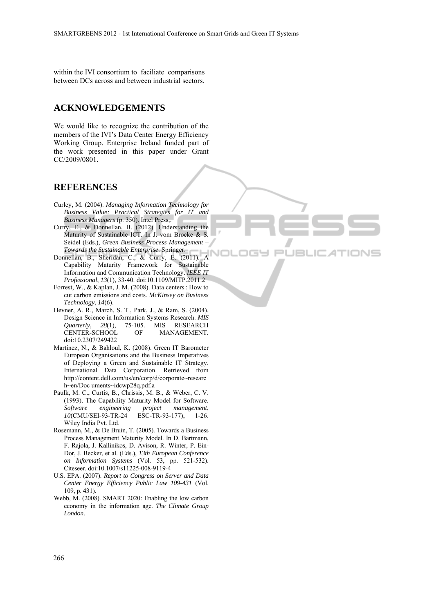$=1$ 

**JBLK** 

within the IVI consortium to faciliate comparisons between DCs across and between industrial sectors.

### **ACKNOWLEDGEMENTS**

We would like to recognize the contribution of the members of the IVI's Data Center Energy Efficiency Working Group. Enterprise Ireland funded part of the work presented in this paper under Grant CC/2009/0801.

#### **REFERENCES**

- Curley, M. (2004). *Managing Information Technology for Business Value: Practical Strategies for IT and Business Managers* (p. 350). Intel Press,.
- Curry, E., & Donnellan, B. (2012). Understanding the Maturity of Sustainable ICT. In J. vom Brocke & S. Seidel (Eds.), *Green Business Process Management – Towards the Sustainable Enterprise*. Springer.
- Donnellan, B., Sheridan, C., & Curry, E. (2011). A Capability Maturity Framework for Sustainable Information and Communication Technology. *IEEE IT Professional*, *13*(1), 33-40. doi:10.1109/MITP.2011.2
- Forrest, W., & Kaplan, J. M. (2008). Data centers: How to cut carbon emissions and costs. *McKinsey on Business Technology*, *14*(6).
- Hevner, A. R., March, S. T., Park, J., & Ram, S. (2004). Design Science in Information Systems Research. *MIS Quarterly*, *28*(1), 75-105. MIS RESEARCH CENTER-SCHOOL OF MANAGEMENT. doi:10.2307/249422
- Martinez, N., & Bahloul, K. (2008). Green IT Barometer European Organisations and the Business Imperatives of Deploying a Green and Sustainable IT Strategy. International Data Corporation. Retrieved from http://content.dell.com/us/en/corp/d/corporate~researc h~en/Doc uments~idcwp28q.pdf.a
- Paulk, M. C., Curtis, B., Chrissis, M. B., & Weber, C. V. (1993). The Capability Maturity Model for Software. *Software engineering project management*, *10*(CMU/SEI-93-TR-24 ESC-TR-93-177), 1-26. Wiley India Pvt. Ltd.
- Rosemann, M., & De Bruin, T. (2005). Towards a Business Process Management Maturity Model. In D. Bartmann, F. Rajola, J. Kallinikos, D. Avison, R. Winter, P. Ein-Dor, J. Becker, et al. (Eds.), *13th European Conference on Information Systems* (Vol. 53, pp. 521-532). Citeseer. doi:10.1007/s11225-008-9119-4
- U.S. EPA. (2007). *Report to Congress on Server and Data Center Energy Efficiency Public Law 109-431* (Vol. 109, p. 431).
- Webb, M. (2008). SMART 2020: Enabling the low carbon economy in the information age. *The Climate Group London*.